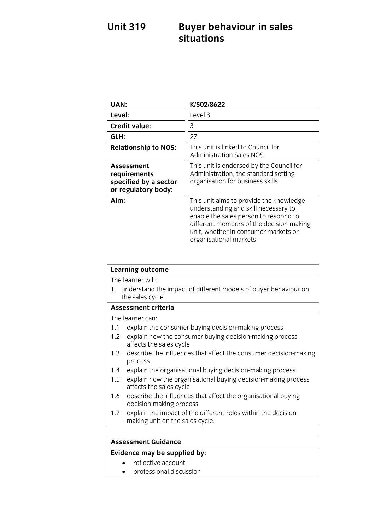# **Unit 319 Buyer behaviour in sales**

| <b>UAN:</b>                                                                | K/502/8622                                                                                                                                                                                                                               |
|----------------------------------------------------------------------------|------------------------------------------------------------------------------------------------------------------------------------------------------------------------------------------------------------------------------------------|
| Level:                                                                     | Level 3                                                                                                                                                                                                                                  |
| <b>Credit value:</b>                                                       | 3                                                                                                                                                                                                                                        |
| GLH:                                                                       | 27                                                                                                                                                                                                                                       |
| <b>Relationship to NOS:</b>                                                | This unit is linked to Council for<br><b>Administration Sales NOS.</b>                                                                                                                                                                   |
| Assessment<br>requirements<br>specified by a sector<br>or regulatory body: | This unit is endorsed by the Council for<br>Administration, the standard setting<br>organisation for business skills.                                                                                                                    |
| Aim:                                                                       | This unit aims to provide the knowledge,<br>understanding and skill necessary to<br>enable the sales person to respond to<br>different members of the decision-making<br>unit, whether in consumer markets or<br>organisational markets. |

| <b>Learning outcome</b>                                                                                   |  |
|-----------------------------------------------------------------------------------------------------------|--|
| The learner will:                                                                                         |  |
| 1. understand the impact of different models of buyer behaviour on<br>the sales cycle                     |  |
| <b>Assessment criteria</b>                                                                                |  |
| The learner can:                                                                                          |  |
| explain the consumer buying decision-making process<br>1.1                                                |  |
| explain how the consumer buying decision-making process<br>$1.2^{\circ}$<br>affects the sales cycle       |  |
| describe the influences that affect the consumer decision-making<br>$1.3 -$<br>process                    |  |
| explain the organisational buying decision-making process<br>1.4                                          |  |
| explain how the organisational buying decision-making process<br>$1.5^{\circ}$<br>affects the sales cycle |  |
| describe the influences that affect the organisational buying<br>1.6<br>decision-making process           |  |
| explain the impact of the different roles within the decision-<br>1.7<br>making unit on the sales cycle.  |  |
|                                                                                                           |  |

## **Assessment Guidance<br>Evidence may be supplied by:**

- reflective account<br>• professional discussion
	- professional discussion